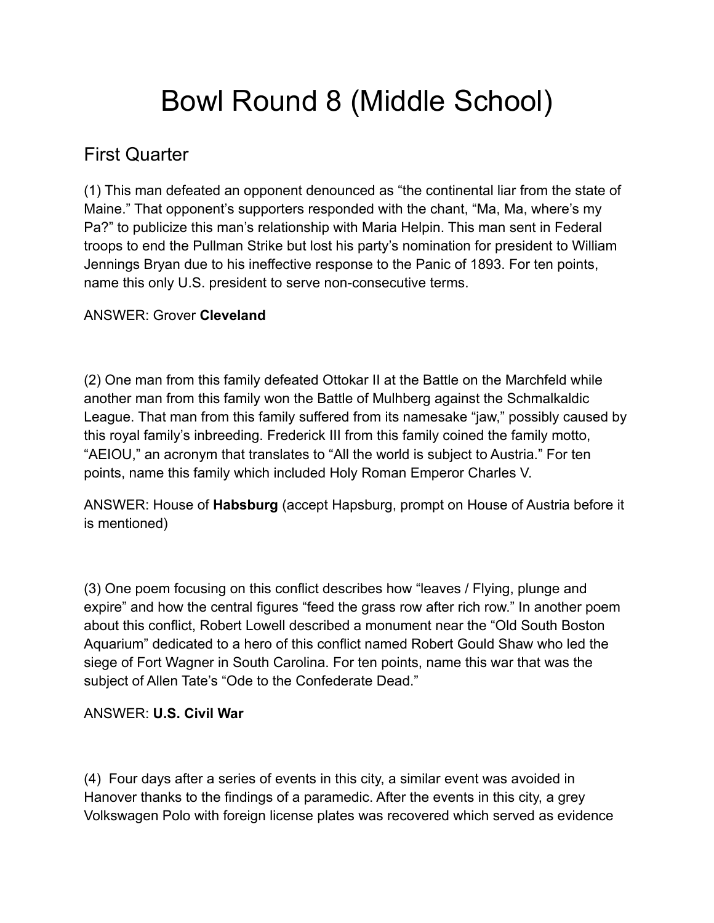# Bowl Round 8 (Middle School)

# First Quarter

(1) This man defeated an opponent denounced as "the continental liar from the state of Maine." That opponent's supporters responded with the chant, "Ma, Ma, where's my Pa?" to publicize this man's relationship with Maria Helpin. This man sent in Federal troops to end the Pullman Strike but lost his party's nomination for president to William Jennings Bryan due to his ineffective response to the Panic of 1893. For ten points, name this only U.S. president to serve non-consecutive terms.

#### ANSWER: Grover **Cleveland**

(2) One man from this family defeated Ottokar II at the Battle on the Marchfeld while another man from this family won the Battle of Mulhberg against the Schmalkaldic League. That man from this family suffered from its namesake "jaw," possibly caused by this royal family's inbreeding. Frederick III from this family coined the family motto, "AEIOU," an acronym that translates to "All the world is subject to Austria." For ten points, name this family which included Holy Roman Emperor Charles V.

ANSWER: House of **Habsburg** (accept Hapsburg, prompt on House of Austria before it is mentioned)

(3) One poem focusing on this conflict describes how "leaves / Flying, plunge and expire" and how the central figures "feed the grass row after rich row." In another poem about this conflict, Robert Lowell described a monument near the "Old South Boston Aquarium" dedicated to a hero of this conflict named Robert Gould Shaw who led the siege of Fort Wagner in South Carolina. For ten points, name this war that was the subject of Allen Tate's "Ode to the Confederate Dead."

#### ANSWER: **U.S. Civil War**

(4) Four days after a series of events in this city, a similar event was avoided in Hanover thanks to the findings of a paramedic. After the events in this city, a grey Volkswagen Polo with foreign license plates was recovered which served as evidence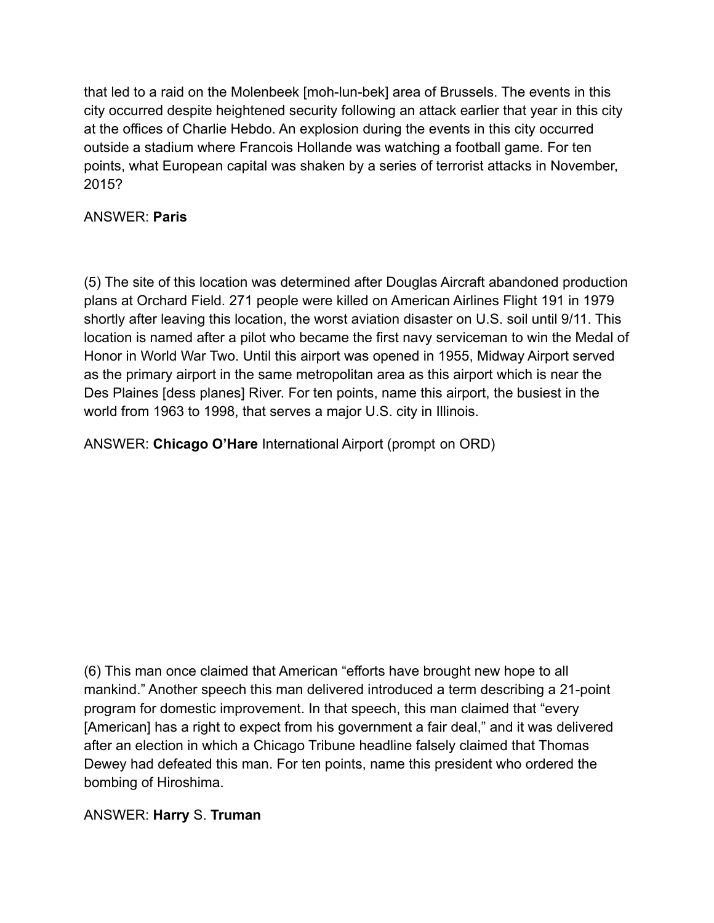that led to a raid on the Molenbeek [moh-lun-bek] area of Brussels. The events in this city occurred despite heightened security following an attack earlier that year in this city at the offices of Charlie Hebdo. An explosion during the events in this city occurred outside a stadium where Francois Hollande was watching a football game. For ten points, what European capital was shaken by a series of terrorist attacks in November, 2015?

#### ANSWER: **Paris**

(5) The site of this location was determined after Douglas Aircraft abandoned production plans at Orchard Field. 271 people were killed on American Airlines Flight 191 in 1979 shortly after leaving this location, the worst aviation disaster on U.S. soil until 9/11. This location is named after a pilot who became the first navy serviceman to win the Medal of Honor in World War Two. Until this airport was opened in 1955, Midway Airport served as the primary airport in the same metropolitan area as this airport which is near the Des Plaines [dess planes] River. For ten points, name this airport, the busiest in the world from 1963 to 1998, that serves a major U.S. city in Illinois.

ANSWER: **Chicago O'Hare** International Airport (prompt on ORD)

(6) This man once claimed that American "efforts have brought new hope to all mankind." Another speech this man delivered introduced a term describing a 21-point program for domestic improvement. In that speech, this man claimed that "every [American] has a right to expect from his government a fair deal," and it was delivered after an election in which a Chicago Tribune headline falsely claimed that Thomas Dewey had defeated this man. For ten points, name this president who ordered the bombing of Hiroshima.

#### ANSWER: **Harry** S. **Truman**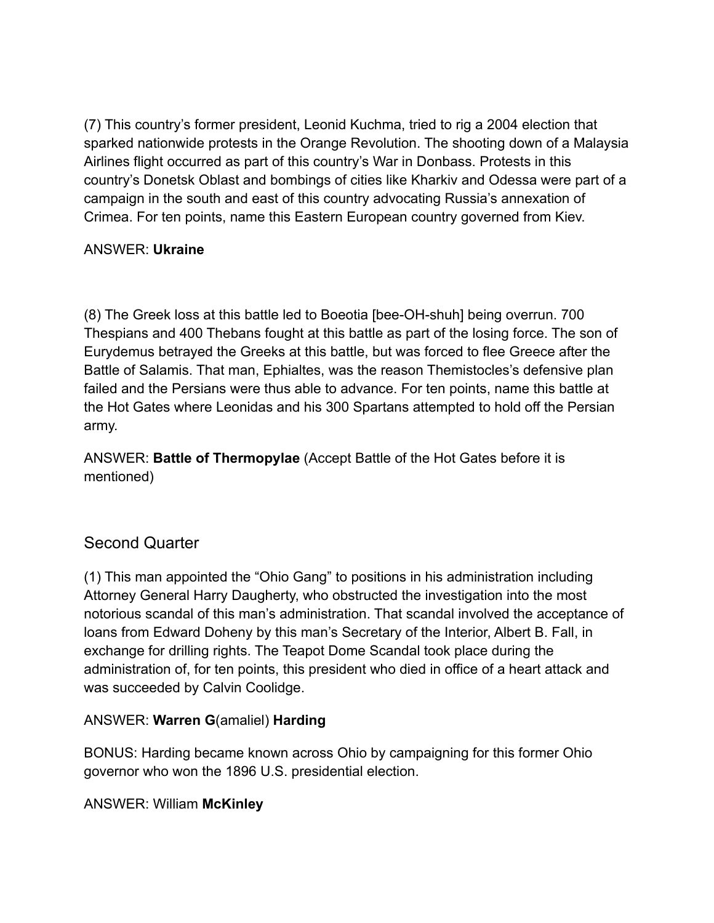(7) This country's former president, Leonid Kuchma, tried to rig a 2004 election that sparked nationwide protests in the Orange Revolution. The shooting down of a Malaysia Airlines flight occurred as part of this country's War in Donbass. Protests in this country's Donetsk Oblast and bombings of cities like Kharkiv and Odessa were part of a campaign in the south and east of this country advocating Russia's annexation of Crimea. For ten points, name this Eastern European country governed from Kiev.

#### ANSWER: **Ukraine**

(8) The Greek loss at this battle led to Boeotia [bee-OH-shuh] being overrun. 700 Thespians and 400 Thebans fought at this battle as part of the losing force. The son of Eurydemus betrayed the Greeks at this battle, but was forced to flee Greece after the Battle of Salamis. That man, Ephialtes, was the reason Themistocles's defensive plan failed and the Persians were thus able to advance. For ten points, name this battle at the Hot Gates where Leonidas and his 300 Spartans attempted to hold off the Persian army.

ANSWER: **Battle of Thermopylae** (Accept Battle of the Hot Gates before it is mentioned)

### Second Quarter

(1) This man appointed the "Ohio Gang" to positions in his administration including Attorney General Harry Daugherty, who obstructed the investigation into the most notorious scandal of this man's administration. That scandal involved the acceptance of loans from Edward Doheny by this man's Secretary of the Interior, Albert B. Fall, in exchange for drilling rights. The Teapot Dome Scandal took place during the administration of, for ten points, this president who died in office of a heart attack and was succeeded by Calvin Coolidge.

#### ANSWER: **Warren G**(amaliel) **Harding**

BONUS: Harding became known across Ohio by campaigning for this former Ohio governor who won the 1896 U.S. presidential election.

#### ANSWER: William **McKinley**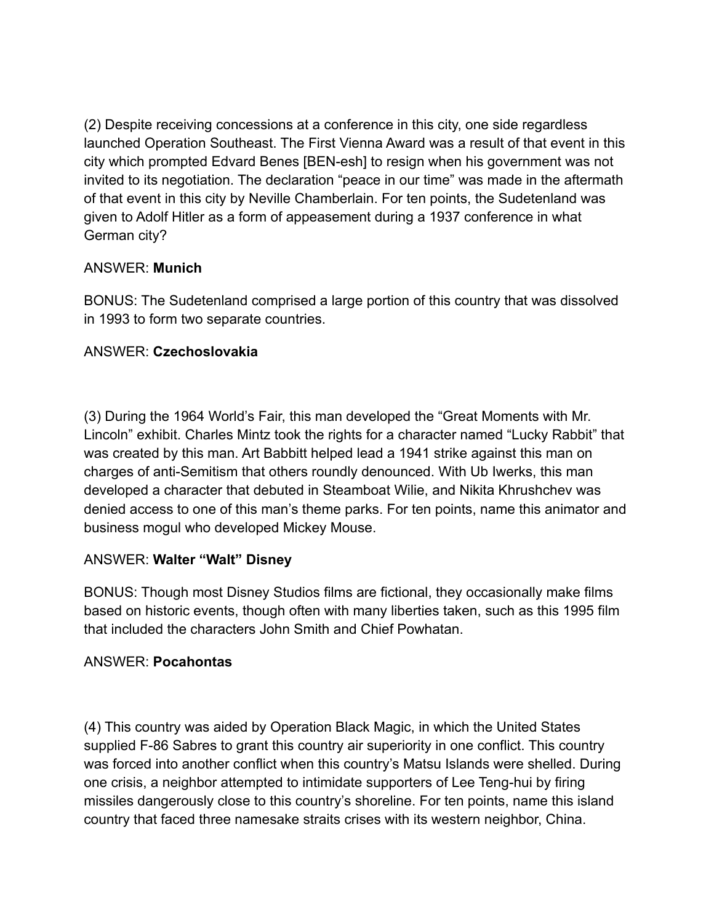(2) Despite receiving concessions at a conference in this city, one side regardless launched Operation Southeast. The First Vienna Award was a result of that event in this city which prompted Edvard Benes [BEN-esh] to resign when his government was not invited to its negotiation. The declaration "peace in our time" was made in the aftermath of that event in this city by Neville Chamberlain. For ten points, the Sudetenland was given to Adolf Hitler as a form of appeasement during a 1937 conference in what German city?

#### ANSWER: **Munich**

BONUS: The Sudetenland comprised a large portion of this country that was dissolved in 1993 to form two separate countries.

#### ANSWER: **Czechoslovakia**

(3) During the 1964 World's Fair, this man developed the "Great Moments with Mr. Lincoln" exhibit. Charles Mintz took the rights for a character named "Lucky Rabbit" that was created by this man. Art Babbitt helped lead a 1941 strike against this man on charges of anti-Semitism that others roundly denounced. With Ub Iwerks, this man developed a character that debuted in Steamboat Wilie, and Nikita Khrushchev was denied access to one of this man's theme parks. For ten points, name this animator and business mogul who developed Mickey Mouse.

#### ANSWER: **Walter "Walt" Disney**

BONUS: Though most Disney Studios films are fictional, they occasionally make films based on historic events, though often with many liberties taken, such as this 1995 film that included the characters John Smith and Chief Powhatan.

#### ANSWER: **Pocahontas**

(4) This country was aided by Operation Black Magic, in which the United States supplied F-86 Sabres to grant this country air superiority in one conflict. This country was forced into another conflict when this country's Matsu Islands were shelled. During one crisis, a neighbor attempted to intimidate supporters of Lee Teng-hui by firing missiles dangerously close to this country's shoreline. For ten points, name this island country that faced three namesake straits crises with its western neighbor, China.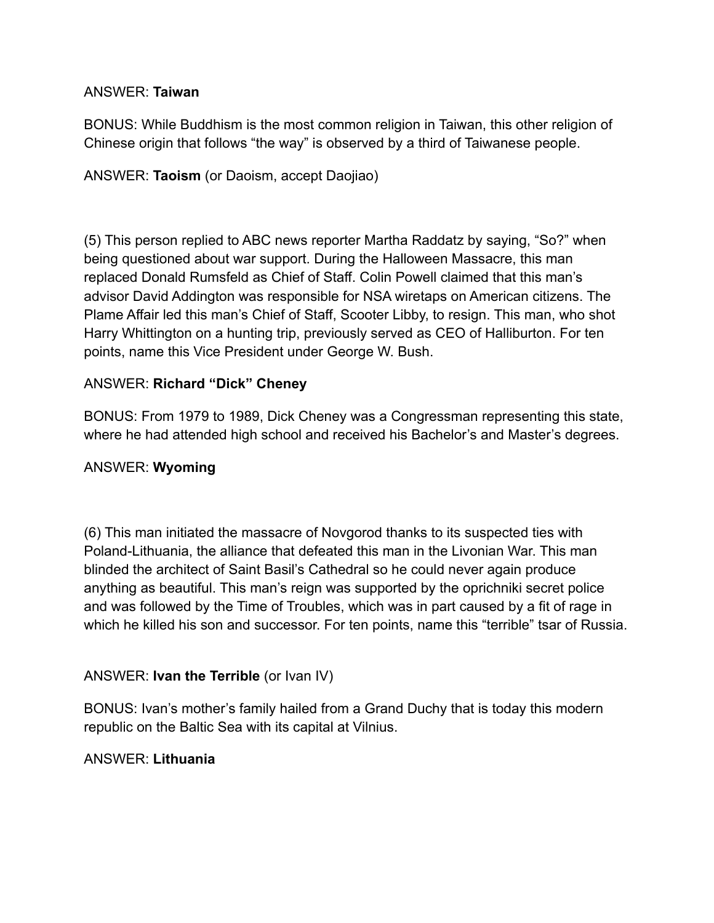#### ANSWER: **Taiwan**

BONUS: While Buddhism is the most common religion in Taiwan, this other religion of Chinese origin that follows "the way" is observed by a third of Taiwanese people.

ANSWER: **Taoism** (or Daoism, accept Daojiao)

(5) This person replied to ABC news reporter Martha Raddatz by saying, "So?" when being questioned about war support. During the Halloween Massacre, this man replaced Donald Rumsfeld as Chief of Staff. Colin Powell claimed that this man's advisor David Addington was responsible for NSA wiretaps on American citizens. The Plame Affair led this man's Chief of Staff, Scooter Libby, to resign. This man, who shot Harry Whittington on a hunting trip, previously served as CEO of Halliburton. For ten points, name this Vice President under George W. Bush.

#### ANSWER: **Richard "Dick" Cheney**

BONUS: From 1979 to 1989, Dick Cheney was a Congressman representing this state, where he had attended high school and received his Bachelor's and Master's degrees.

#### ANSWER: **Wyoming**

(6) This man initiated the massacre of Novgorod thanks to its suspected ties with Poland-Lithuania, the alliance that defeated this man in the Livonian War. This man blinded the architect of Saint Basil's Cathedral so he could never again produce anything as beautiful. This man's reign was supported by the oprichniki secret police and was followed by the Time of Troubles, which was in part caused by a fit of rage in which he killed his son and successor. For ten points, name this "terrible" tsar of Russia.

#### ANSWER: **Ivan the Terrible** (or Ivan IV)

BONUS: Ivan's mother's family hailed from a Grand Duchy that is today this modern republic on the Baltic Sea with its capital at Vilnius.

#### ANSWER: **Lithuania**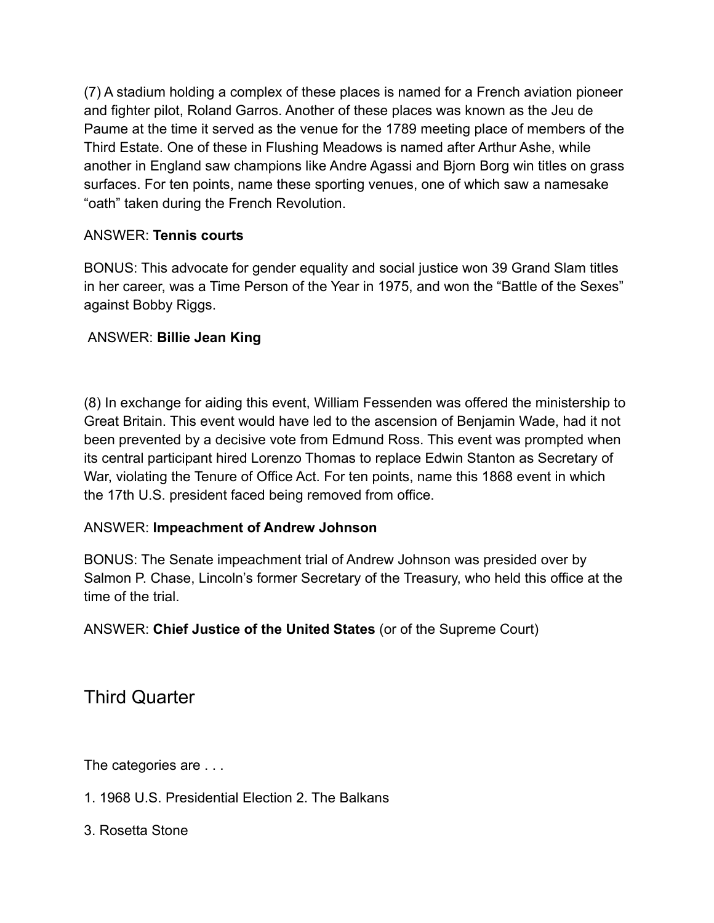(7) A stadium holding a complex of these places is named for a French aviation pioneer and fighter pilot, Roland Garros. Another of these places was known as the Jeu de Paume at the time it served as the venue for the 1789 meeting place of members of the Third Estate. One of these in Flushing Meadows is named after Arthur Ashe, while another in England saw champions like Andre Agassi and Bjorn Borg win titles on grass surfaces. For ten points, name these sporting venues, one of which saw a namesake "oath" taken during the French Revolution.

#### ANSWER: **Tennis courts**

BONUS: This advocate for gender equality and social justice won 39 Grand Slam titles in her career, was a Time Person of the Year in 1975, and won the "Battle of the Sexes" against Bobby Riggs.

#### ANSWER: **Billie Jean King**

(8) In exchange for aiding this event, William Fessenden was offered the ministership to Great Britain. This event would have led to the ascension of Benjamin Wade, had it not been prevented by a decisive vote from Edmund Ross. This event was prompted when its central participant hired Lorenzo Thomas to replace Edwin Stanton as Secretary of War, violating the Tenure of Office Act. For ten points, name this 1868 event in which the 17th U.S. president faced being removed from office.

#### ANSWER: **Impeachment of Andrew Johnson**

BONUS: The Senate impeachment trial of Andrew Johnson was presided over by Salmon P. Chase, Lincoln's former Secretary of the Treasury, who held this office at the time of the trial

ANSWER: **Chief Justice of the United States** (or of the Supreme Court)

Third Quarter

The categories are . . .

- 1. 1968 U.S. Presidential Election 2. The Balkans
- 3. Rosetta Stone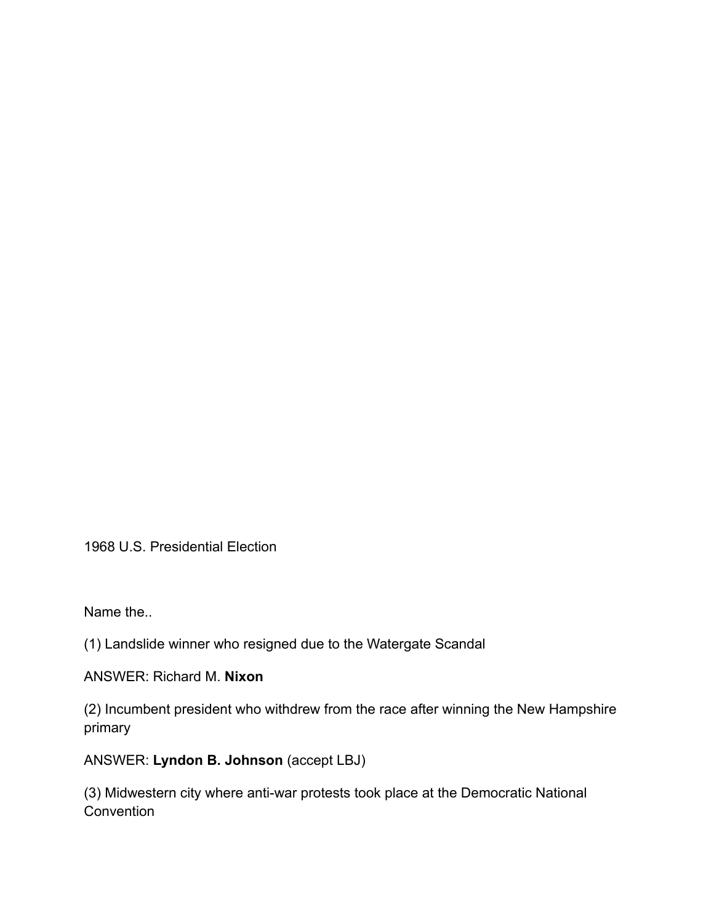1968 U.S. Presidential Election

Name the..

(1) Landslide winner who resigned due to the Watergate Scandal

ANSWER: Richard M. **Nixon**

(2) Incumbent president who withdrew from the race after winning the New Hampshire primary

ANSWER: **Lyndon B. Johnson** (accept LBJ)

(3) Midwestern city where anti-war protests took place at the Democratic National **Convention**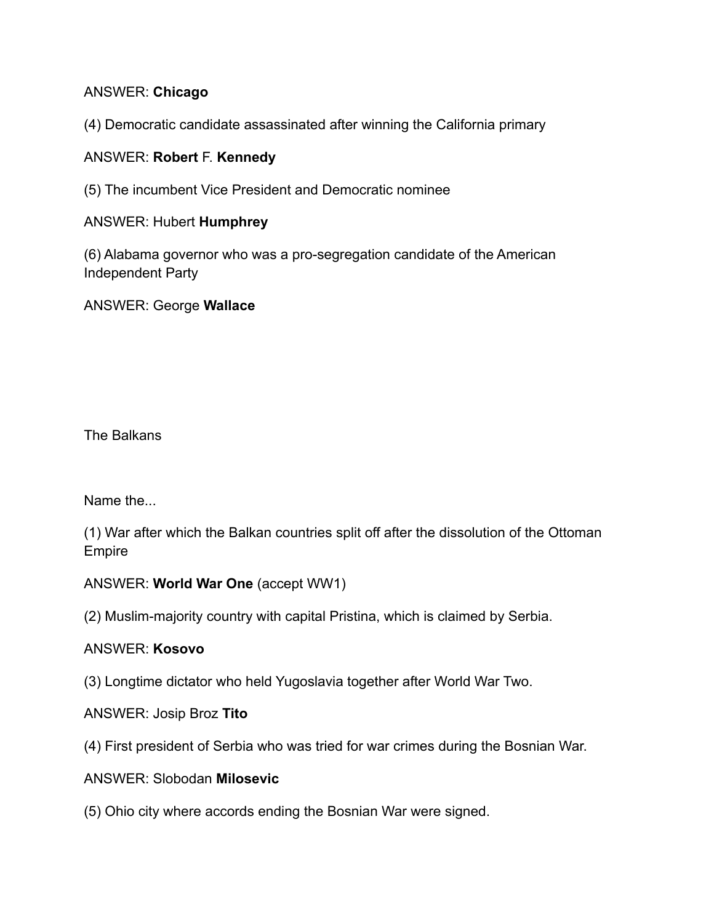#### ANSWER: **Chicago**

(4) Democratic candidate assassinated after winning the California primary

#### ANSWER: **Robert** F. **Kennedy**

(5) The incumbent Vice President and Democratic nominee

#### ANSWER: Hubert **Humphrey**

(6) Alabama governor who was a pro-segregation candidate of the American Independent Party

ANSWER: George **Wallace**

The Balkans

Name the...

(1) War after which the Balkan countries split off after the dissolution of the Ottoman Empire

ANSWER: **World War One** (accept WW1)

(2) Muslim-majority country with capital Pristina, which is claimed by Serbia.

#### ANSWER: **Kosovo**

(3) Longtime dictator who held Yugoslavia together after World War Two.

ANSWER: Josip Broz **Tito**

(4) First president of Serbia who was tried for war crimes during the Bosnian War.

#### ANSWER: Slobodan **Milosevic**

(5) Ohio city where accords ending the Bosnian War were signed.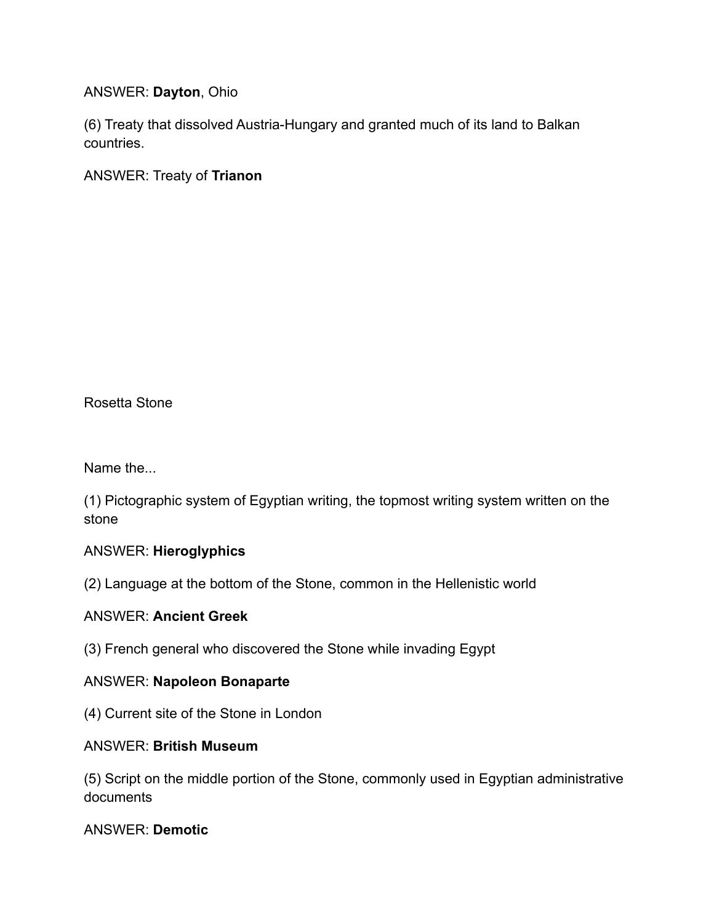#### ANSWER: **Dayton**, Ohio

(6) Treaty that dissolved Austria-Hungary and granted much of its land to Balkan countries.

ANSWER: Treaty of **Trianon**

Rosetta Stone

Name the...

(1) Pictographic system of Egyptian writing, the topmost writing system written on the stone

#### ANSWER: **Hieroglyphics**

(2) Language at the bottom of the Stone, common in the Hellenistic world

#### ANSWER: **Ancient Greek**

(3) French general who discovered the Stone while invading Egypt

#### ANSWER: **Napoleon Bonaparte**

(4) Current site of the Stone in London

#### ANSWER: **British Museum**

(5) Script on the middle portion of the Stone, commonly used in Egyptian administrative documents

ANSWER: **Demotic**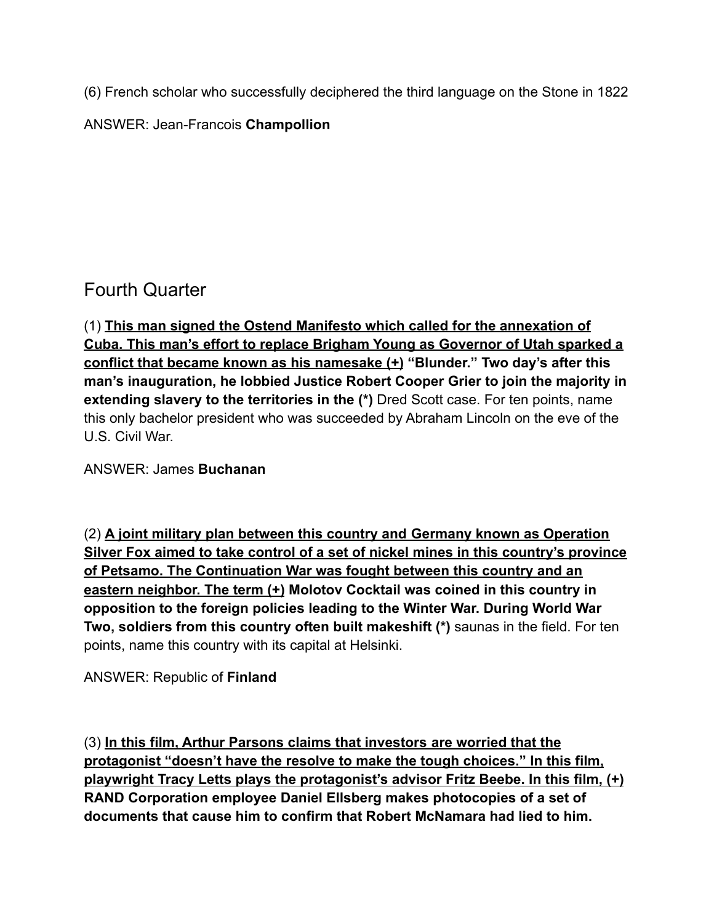(6) French scholar who successfully deciphered the third language on the Stone in 1822

ANSWER: Jean-Francois **Champollion**

# Fourth Quarter

(1) **This man signed the Ostend Manifesto which called for the annexation of Cuba. This man's effort to replace Brigham Young as Governor of Utah sparked a conflict that became known as his namesake (+) "Blunder." Two day's after this man's inauguration, he lobbied Justice Robert Cooper Grier to join the majority in extending slavery to the territories in the (\*)** Dred Scott case. For ten points, name this only bachelor president who was succeeded by Abraham Lincoln on the eve of the U.S. Civil War.

ANSWER: James **Buchanan**

(2) **A joint military plan between this country and Germany known as Operation Silver Fox aimed to take control of a set of nickel mines in this country's province of Petsamo. The Continuation War was fought between this country and an eastern neighbor. The term (+) Molotov Cocktail was coined in this country in opposition to the foreign policies leading to the Winter War. During World War Two, soldiers from this country often built makeshift (\*)** saunas in the field. For ten points, name this country with its capital at Helsinki.

ANSWER: Republic of **Finland**

(3) **In this film, Arthur Parsons claims that investors are worried that the protagonist "doesn't have the resolve to make the tough choices." In this film, playwright Tracy Letts plays the protagonist's advisor Fritz Beebe. In this film, (+) RAND Corporation employee Daniel Ellsberg makes photocopies of a set of documents that cause him to confirm that Robert McNamara had lied to him.**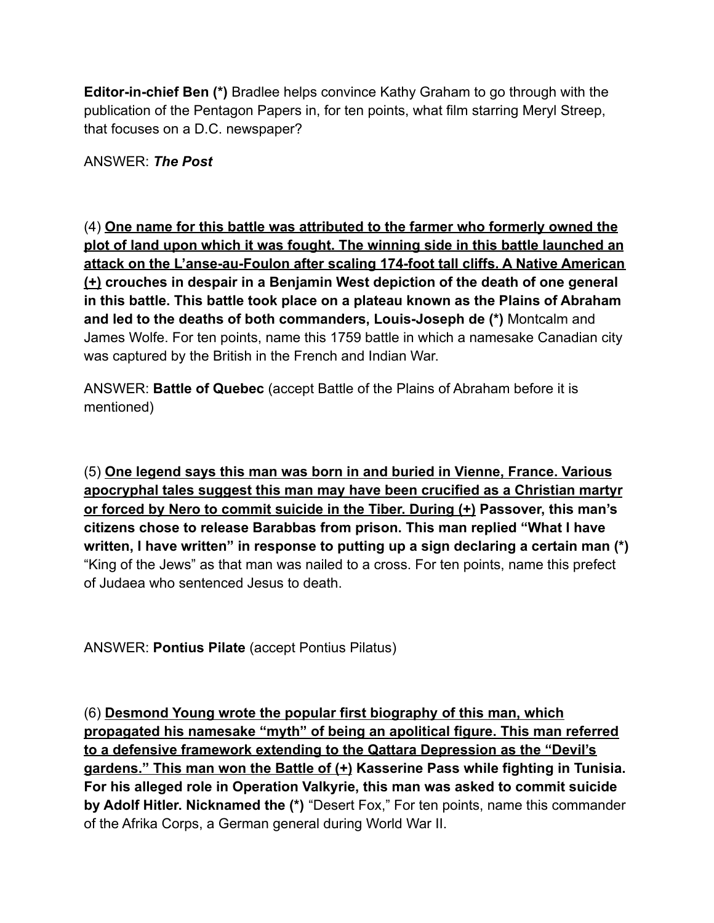**Editor-in-chief Ben (\*)** Bradlee helps convince Kathy Graham to go through with the publication of the Pentagon Papers in, for ten points, what film starring Meryl Streep, that focuses on a D.C. newspaper?

ANSWER: *The Post*

(4) **One name for this battle was attributed to the farmer who formerly owned the plot of land upon which it was fought. The winning side in this battle launched an attack on the L'anse-au-Foulon after scaling 174-foot tall cliffs. A Native American (+) crouches in despair in a Benjamin West depiction of the death of one general in this battle. This battle took place on a plateau known as the Plains of Abraham and led to the deaths of both commanders, Louis-Joseph de (\*)** Montcalm and James Wolfe. For ten points, name this 1759 battle in which a namesake Canadian city was captured by the British in the French and Indian War.

ANSWER: **Battle of Quebec** (accept Battle of the Plains of Abraham before it is mentioned)

(5) **One legend says this man was born in and buried in Vienne, France. Various apocryphal tales suggest this man may have been crucified as a Christian martyr or forced by Nero to commit suicide in the Tiber. During (+) Passover, this man's citizens chose to release Barabbas from prison. This man replied "What I have written, I have written" in response to putting up a sign declaring a certain man (\*)** "King of the Jews" as that man was nailed to a cross. For ten points, name this prefect of Judaea who sentenced Jesus to death.

ANSWER: **Pontius Pilate** (accept Pontius Pilatus)

(6) **Desmond Young wrote the popular first biography of this man, which propagated his namesake "myth" of being an apolitical figure. This man referred to a defensive framework extending to the Qattara Depression as the "Devil's gardens." This man won the Battle of (+) Kasserine Pass while fighting in Tunisia. For his alleged role in Operation Valkyrie, this man was asked to commit suicide by Adolf Hitler. Nicknamed the (\*)** "Desert Fox," For ten points, name this commander of the Afrika Corps, a German general during World War II.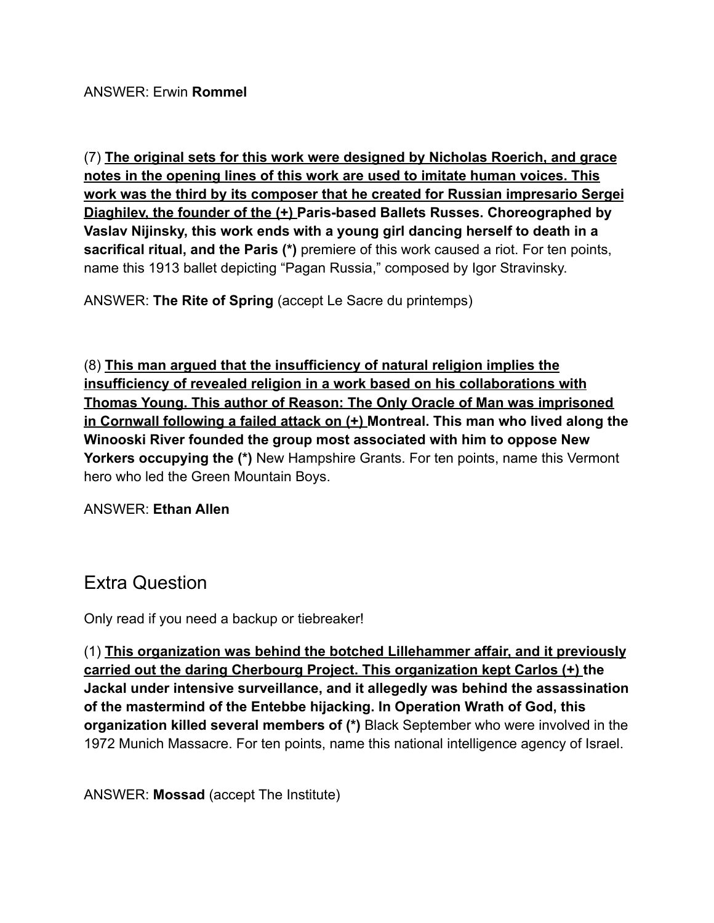(7) **The original sets for this work were designed by Nicholas Roerich, and grace notes in the opening lines of this work are used to imitate human voices. This work was the third by its composer that he created for Russian impresario Sergei Diaghilev, the founder of the (+) Paris-based Ballets Russes. Choreographed by Vaslav Nijinsky, this work ends with a young girl dancing herself to death in a sacrifical ritual, and the Paris (\*)** premiere of this work caused a riot. For ten points, name this 1913 ballet depicting "Pagan Russia," composed by Igor Stravinsky.

ANSWER: **The Rite of Spring** (accept Le Sacre du printemps)

(8) **This man argued that the insufficiency of natural religion implies the insufficiency of revealed religion in a work based on his collaborations with Thomas Young. This author of Reason: The Only Oracle of Man was imprisoned in Cornwall following a failed attack on (+) Montreal. This man who lived along the Winooski River founded the group most associated with him to oppose New Yorkers occupying the (\*)** New Hampshire Grants. For ten points, name this Vermont hero who led the Green Mountain Boys.

ANSWER: **Ethan Allen**

## Extra Question

Only read if you need a backup or tiebreaker!

(1) **This organization was behind the botched Lillehammer affair, and it previously carried out the daring Cherbourg Project. This organization kept Carlos (+) the Jackal under intensive surveillance, and it allegedly was behind the assassination of the mastermind of the Entebbe hijacking. In Operation Wrath of God, this organization killed several members of (\*)** Black September who were involved in the 1972 Munich Massacre. For ten points, name this national intelligence agency of Israel.

ANSWER: **Mossad** (accept The Institute)